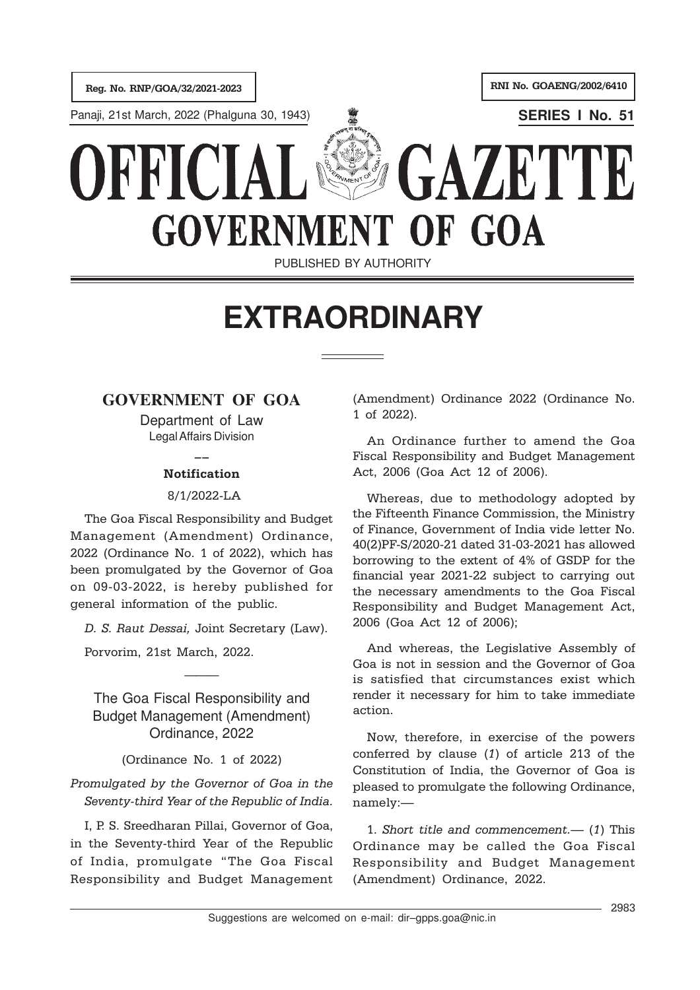

PUBLISHED BY AUTHORITY

## **EXTRAORDINARY**

## **GOVERNMENT OF GOA**

Department of Law Legal Affairs Division

## $\overline{\phantom{a}}$ Notification

8/1/2022-LA

The Goa Fiscal Responsibility and Budget Management (Amendment) Ordinance, 2022 (Ordinance No. 1 of 2022), which has been promulgated by the Governor of Goa on 09-03-2022, is hereby published for general information of the public.

D. S. Raut Dessai, Joint Secretary (Law).

Porvorim, 21st March, 2022.

The Goa Fiscal Responsibility and Budget Management (Amendment) Ordinance, 2022

———

(Ordinance No. 1 of 2022)

Promulgated by the Governor of Goa in the Seventy-third Year of the Republic of India.

I, P. S. Sreedharan Pillai, Governor of Goa, in the Seventy-third Year of the Republic of India, promulgate "The Goa Fiscal Responsibility and Budget Management (Amendment) Ordinance 2022 (Ordinance No. 1 of 2022).

An Ordinance further to amend the Goa Fiscal Responsibility and Budget Management Act, 2006 (Goa Act 12 of 2006).

Whereas, due to methodology adopted by the Fifteenth Finance Commission, the Ministry of Finance, Government of India vide letter No. 40(2)PF-S/2020-21 dated 31-03-2021 has allowed borrowing to the extent of 4% of GSDP for the financial year 2021-22 subject to carrying out the necessary amendments to the Goa Fiscal Responsibility and Budget Management Act, 2006 (Goa Act 12 of 2006);

And whereas, the Legislative Assembly of Goa is not in session and the Governor of Goa is satisfied that circumstances exist which render it necessary for him to take immediate action.

Now, therefore, in exercise of the powers conferred by clause (1) of article 213 of the Constitution of India, the Governor of Goa is pleased to promulgate the following Ordinance, namely:—

1. Short title and commencement.— (1) This Ordinance may be called the Goa Fiscal Responsibility and Budget Management (Amendment) Ordinance, 2022.